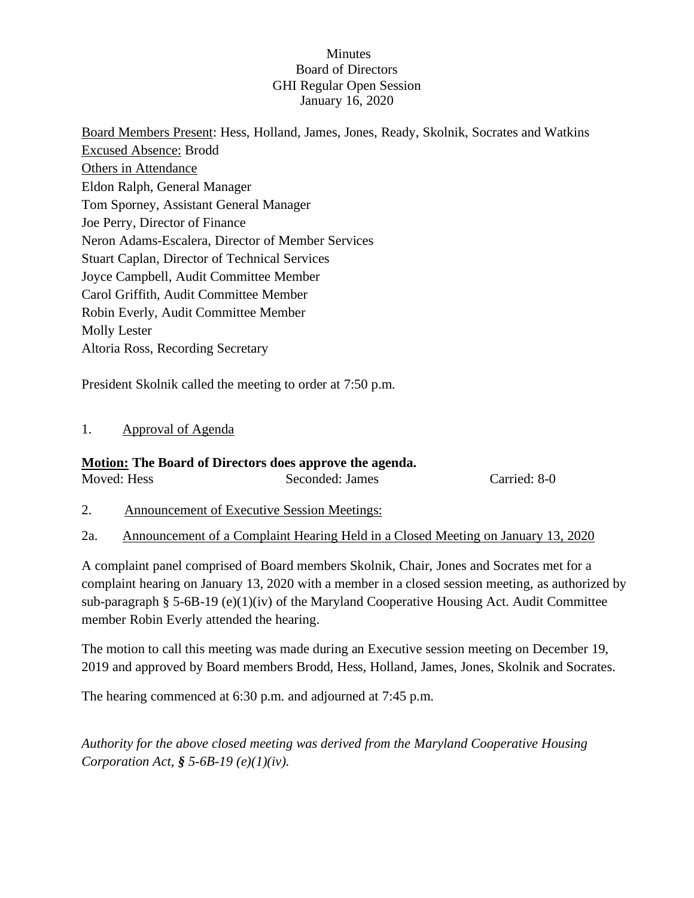## **Minutes** Board of Directors GHI Regular Open Session January 16, 2020

Board Members Present: Hess, Holland, James, Jones, Ready, Skolnik, Socrates and Watkins Excused Absence: Brodd Others in Attendance Eldon Ralph, General Manager Tom Sporney, Assistant General Manager Joe Perry, Director of Finance Neron Adams-Escalera, Director of Member Services Stuart Caplan, Director of Technical Services Joyce Campbell, Audit Committee Member Carol Griffith, Audit Committee Member Robin Everly, Audit Committee Member Molly Lester Altoria Ross, Recording Secretary

President Skolnik called the meeting to order at 7:50 p.m.

# 1. Approval of Agenda

## **Motion: The Board of Directors does approve the agenda.**

Moved: Hess Seconded: James Carried: 8-0

- 2. Announcement of Executive Session Meetings:
- 2a. Announcement of a Complaint Hearing Held in a Closed Meeting on January 13, 2020

A complaint panel comprised of Board members Skolnik, Chair, Jones and Socrates met for a complaint hearing on January 13, 2020 with a member in a closed session meeting, as authorized by sub-paragraph § 5-6B-19 (e)(1)(iv) of the Maryland Cooperative Housing Act. Audit Committee member Robin Everly attended the hearing.

The motion to call this meeting was made during an Executive session meeting on December 19, 2019 and approved by Board members Brodd, Hess, Holland, James, Jones, Skolnik and Socrates.

The hearing commenced at 6:30 p.m. and adjourned at 7:45 p.m.

*Authority for the above closed meeting was derived from the Maryland Cooperative Housing Corporation Act, § 5-6B-19 (e)(1)(iv).*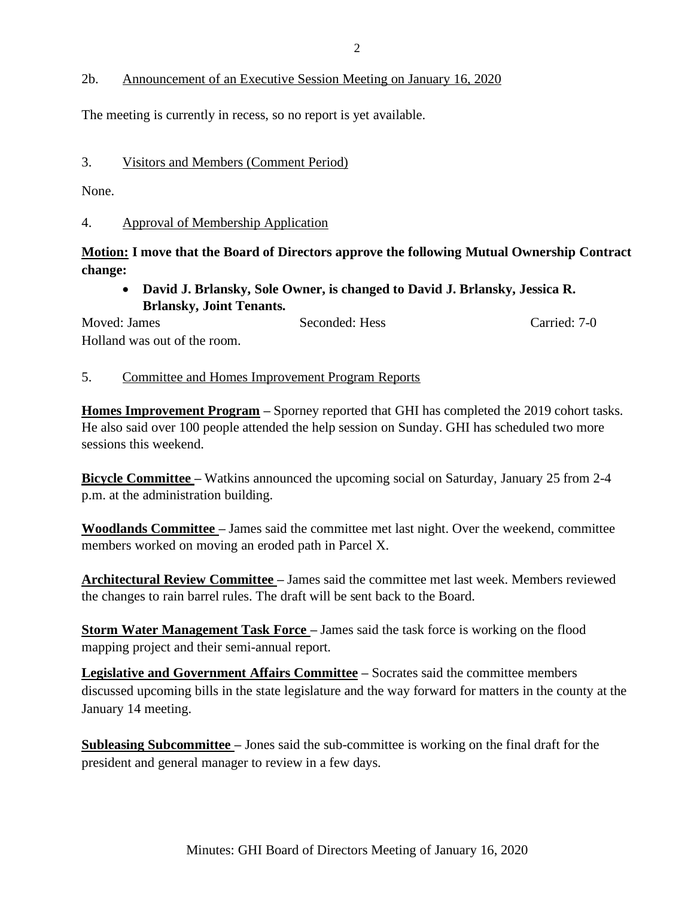## 2b. Announcement of an Executive Session Meeting on January 16, 2020

The meeting is currently in recess, so no report is yet available.

### 3. Visitors and Members (Comment Period)

None.

#### 4. Approval of Membership Application

# **Motion: I move that the Board of Directors approve the following Mutual Ownership Contract change:**

• **David J. Brlansky, Sole Owner, is changed to David J. Brlansky, Jessica R. Brlansky, Joint Tenants.** 

Moved: James Seconded: Hess Carried: 7-0 Holland was out of the room.

#### 5. Committee and Homes Improvement Program Reports

**Homes Improvement Program –** Sporney reported that GHI has completed the 2019 cohort tasks. He also said over 100 people attended the help session on Sunday. GHI has scheduled two more sessions this weekend.

**Bicycle Committee –** Watkins announced the upcoming social on Saturday, January 25 from 2-4 p.m. at the administration building.

**Woodlands Committee –** James said the committee met last night. Over the weekend, committee members worked on moving an eroded path in Parcel X.

**Architectural Review Committee –** James said the committee met last week. Members reviewed the changes to rain barrel rules. The draft will be sent back to the Board.

**Storm Water Management Task Force** – James said the task force is working on the flood mapping project and their semi-annual report.

**Legislative and Government Affairs Committee –** Socrates said the committee members discussed upcoming bills in the state legislature and the way forward for matters in the county at the January 14 meeting.

**Subleasing Subcommittee –** Jones said the sub-committee is working on the final draft for the president and general manager to review in a few days.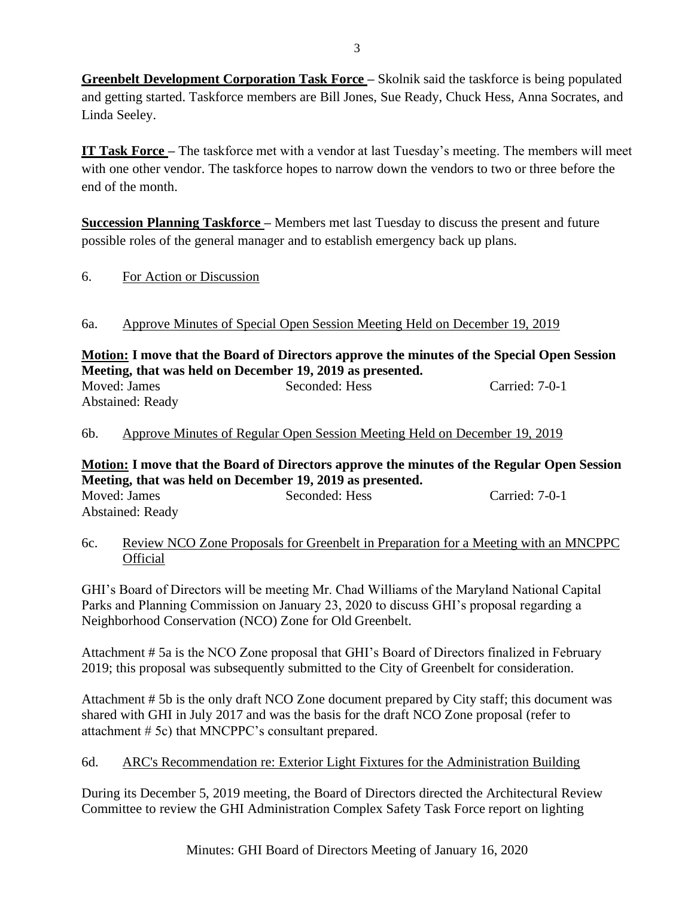**Greenbelt Development Corporation Task Force – Skolnik said the taskforce is being populated** and getting started. Taskforce members are Bill Jones, Sue Ready, Chuck Hess, Anna Socrates, and Linda Seeley.

**IT Task Force –** The taskforce met with a vendor at last Tuesday's meeting. The members will meet with one other vendor. The taskforce hopes to narrow down the vendors to two or three before the end of the month.

**Succession Planning Taskforce –** Members met last Tuesday to discuss the present and future possible roles of the general manager and to establish emergency back up plans.

6. For Action or Discussion

# 6a. Approve Minutes of Special Open Session Meeting Held on December 19, 2019

**Motion: I move that the Board of Directors approve the minutes of the Special Open Session Meeting, that was held on December 19, 2019 as presented.** Moved: James Seconded: Hess Carried: 7-0-1 Abstained: Ready

6b. Approve Minutes of Regular Open Session Meeting Held on December 19, 2019

**Motion: I move that the Board of Directors approve the minutes of the Regular Open Session Meeting, that was held on December 19, 2019 as presented.** Moved: James Seconded: Hess Carried: 7-0-1

Abstained: Ready

6c. Review NCO Zone Proposals for Greenbelt in Preparation for a Meeting with an MNCPPC Official

GHI's Board of Directors will be meeting Mr. Chad Williams of the Maryland National Capital Parks and Planning Commission on January 23, 2020 to discuss GHI's proposal regarding a Neighborhood Conservation (NCO) Zone for Old Greenbelt.

Attachment # 5a is the NCO Zone proposal that GHI's Board of Directors finalized in February 2019; this proposal was subsequently submitted to the City of Greenbelt for consideration.

Attachment # 5b is the only draft NCO Zone document prepared by City staff; this document was shared with GHI in July 2017 and was the basis for the draft NCO Zone proposal (refer to attachment # 5c) that MNCPPC's consultant prepared.

# 6d. ARC's Recommendation re: Exterior Light Fixtures for the Administration Building

During its December 5, 2019 meeting, the Board of Directors directed the Architectural Review Committee to review the GHI Administration Complex Safety Task Force report on lighting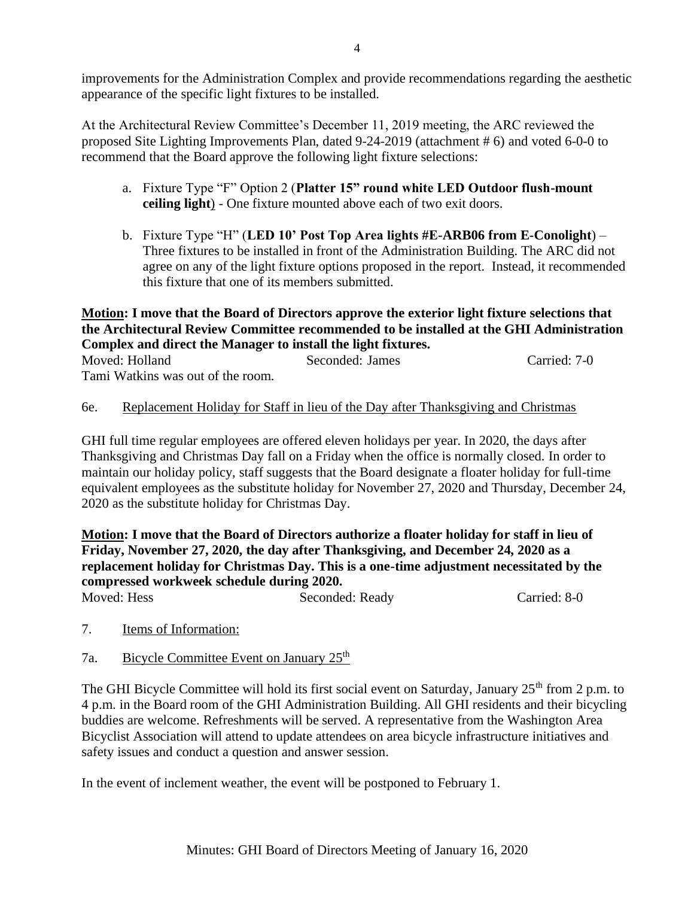At the Architectural Review Committee's December 11, 2019 meeting, the ARC reviewed the proposed Site Lighting Improvements Plan, dated 9-24-2019 (attachment # 6) and voted 6-0-0 to recommend that the Board approve the following light fixture selections:

- a. Fixture Type "F" Option 2 (**Platter 15" round white LED Outdoor flush-mount ceiling light**) - One fixture mounted above each of two exit doors.
- b. Fixture Type "H" (**LED 10' Post Top Area lights #E-ARB06 from E-Conolight**) Three fixtures to be installed in front of the Administration Building. The ARC did not agree on any of the light fixture options proposed in the report. Instead, it recommended this fixture that one of its members submitted.

**Motion: I move that the Board of Directors approve the exterior light fixture selections that the Architectural Review Committee recommended to be installed at the GHI Administration Complex and direct the Manager to install the light fixtures.**

| Moved: Holland                    | Seconded: James | Carried: 7-0 |
|-----------------------------------|-----------------|--------------|
| Tami Watkins was out of the room. |                 |              |

# 6e. Replacement Holiday for Staff in lieu of the Day after Thanksgiving and Christmas

GHI full time regular employees are offered eleven holidays per year. In 2020, the days after Thanksgiving and Christmas Day fall on a Friday when the office is normally closed. In order to maintain our holiday policy, staff suggests that the Board designate a floater holiday for full-time equivalent employees as the substitute holiday for November 27, 2020 and Thursday, December 24, 2020 as the substitute holiday for Christmas Day.

**Motion: I move that the Board of Directors authorize a floater holiday for staff in lieu of Friday, November 27, 2020, the day after Thanksgiving, and December 24, 2020 as a replacement holiday for Christmas Day. This is a one-time adjustment necessitated by the compressed workweek schedule during 2020.** Moved: Hess Seconded: Ready Carried: 8-0

- 7. Items of Information:
- 7a. Bicycle Committee Event on January 25<sup>th</sup>

The GHI Bicycle Committee will hold its first social event on Saturday, January 25<sup>th</sup> from 2 p.m. to 4 p.m. in the Board room of the GHI Administration Building. All GHI residents and their bicycling buddies are welcome. Refreshments will be served. A representative from the Washington Area Bicyclist Association will attend to update attendees on area bicycle infrastructure initiatives and safety issues and conduct a question and answer session.

In the event of inclement weather, the event will be postponed to February 1.